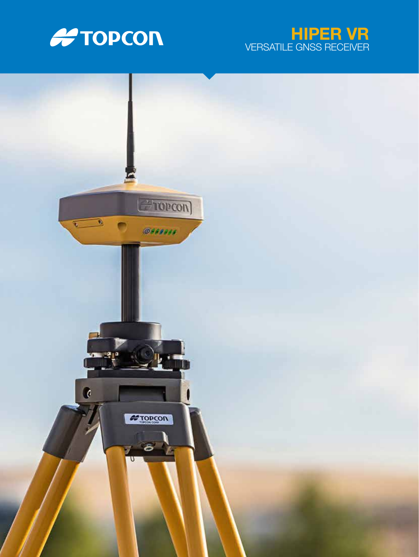



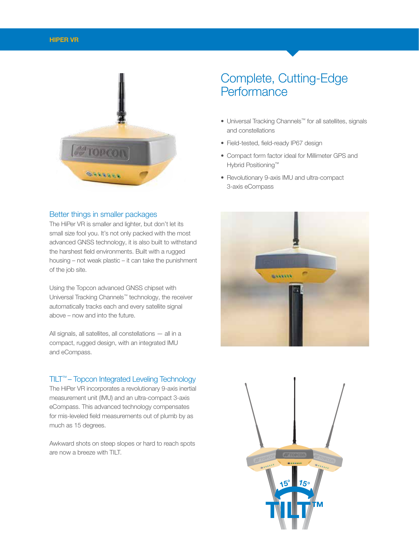

#### Better things in smaller packages

The HiPer VR is smaller and lighter, but don't let its small size fool you. It's not only packed with the most advanced GNSS technology, it is also built to withstand the harshest field environments. Built with a rugged housing – not weak plastic – it can take the punishment of the job site.

Using the Topcon advanced GNSS chipset with Universal Tracking Channels™ technology, the receiver automatically tracks each and every satellite signal above – now and into the future.

All signals, all satellites, all constellations — all in a compact, rugged design, with an integrated IMU and eCompass.

#### TILT™ – Topcon Integrated Leveling Technology

The HiPer VR incorporates a revolutionary 9-axis inertial measurement unit (IMU) and an ultra-compact 3-axis eCompass. This advanced technology compensates for mis-leveled field measurements out of plumb by as much as 15 degrees.

Awkward shots on steep slopes or hard to reach spots are now a breeze with TILT.

# Complete, Cutting-Edge **Performance**

- Universal Tracking Channels™ for all satellites, signals and constellations
- Field-tested, field-ready IP67 design
- Compact form factor ideal for Millimeter GPS and Hybrid Positioning™
- Revolutionary 9-axis IMU and ultra-compact 3-axis eCompass



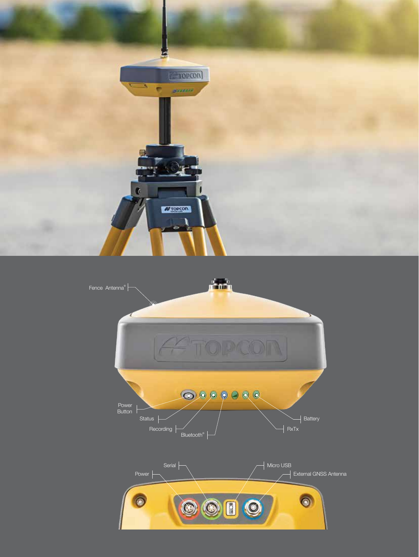